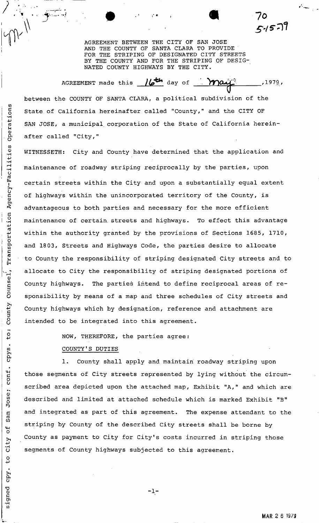AGREEMENT BETWEEN THE CITY OF SAN JOSE AND THE COUNTY OF SANTA CLARA TO PROVI SANTA CLARA TO PROVIDE FOR THE STRIPING OF DESIGNATED CITY STREETS BY THE COUNTY AND FOR THE STRIPING OF DESIG-NATED COUNTY HIGHWAYS BY THE CITY.

...•p..-; 9 4 1 7 ®

 $\,\sqrt{2}$  5-15-11

AGREEMENT made this  $\sqrt{\mathcal{L}^2}$  day of  $1979.$ between the COUNTY OF SANTA CLARA, a political subdivision of the State of California hereinafter called "County," and the CITY OF SAN JOSE, a municipal, corporation of the State of California herein-

WITNESSETH: City and County have determined that the application and maintenance of roadway striping reciprocally by the parties, upon certain streets within the City and upon a substantially equal extent of highways within the unincorporated territory of the County, is advantageous to both parties and necessary for the more efficient maintenance of certain, streets and highways. To effect this advantage within the authority granted by the provisions of Sections 1685, 1710, and 1803, Streets and Highways Code, the parties desire to allocate to County the responsibility of striping designated City streets and to allocate to City the responsibility of striping designated portions of County highways. The parties intend to define reciprocal areas of responsibility by means of a map and three schedules of City streets and County highways which by designation, reference and attachment are intended to be integrated into this agreement.

> NOW, THEREFORE, the parties agree: COUNTY'S DUTIES

1. County shall apply and maintain roadway striping upon those segments of City streets represented by lying without the circumscribed area depicted upon the attached map, Exhibit "A," and which are described and limited at attached schedule which is marked Exhibit "B" and integrated as part of this agreement. The expense attendant to the striping by County of the described City streets shall be borne by County as payment to City for City's costs incurred in striping those segments of County highways subjected to this agreement.

**-1-**

Transportation Agency-Facilities Operations Counsel, County to: cpys. conf. Jose; San  $\frac{4}{\sigma}$ City  $\frac{0}{4}$ **Zdo** signed

after called "City,"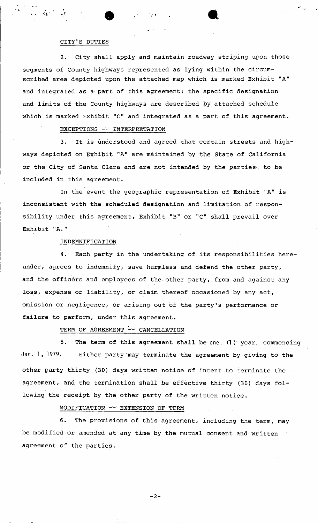#### CITY'S DUTIES

2. City shall apply and maintain roadway striping upon those segments of County highways represented as lying within the circumscribed area depicted upon the attached map which is marked Exhibit "A" and integrated as a part of this agreement; the specific designation and limits of the County highways are described by attached schedule which is marked Exhibit "C" and integrated as a part of this agreement.

# EXCEPTIONS — INTERPRETATION

3. It is understood and agreed that certain streets and highways depicted on Exhibit "A" are maintained by the State of California or the City of Santa Clara and are not intended by the parties to be included in this agreement.

In the event the geographic representation of Exhibit "A" is inconsistent with the scheduled designation and limitation of responsibility under this agreement, Exhibit "B" or "C" shall prevail over Exhibit "A."

### ' INDEMNIFICATION

4. Each party in the undertaking of its responsibilities hereunder, agrees to indemnify, save harmless and defend the other party, and the officers and employees of the other party, from and against any loss, expense or liability, or claim thereof occasioned by any act, omission or negligence, or arising out of the party's performance or failure to perform, under this agreement.

# TERM OF AGREEMENT -- CANCELLATION

5. The term of this agreement shall be one  $(1)$  year, commencing Jan. 1, 1979. Either party may terminate the agreement by giving to the other party thirty (30) days written notice of intent to terminate the agreement, and the termination shall be effective thirty (30) days following the receipt by the other party of the written notice.

# MODIFICATION -- EXTENSION OF TERM

6. The provisions of this agreement, including the term, may be modified or amended at any time by the mutual consent and written agreement of the parties.

 $-2-$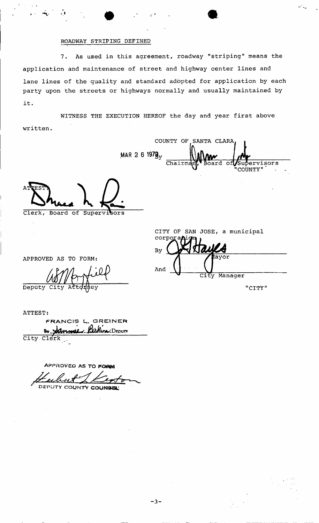# ROADWAY STRIPING DEFINED

As used in this agreement, roadway "striping" means the  $7.$ application and maintenance of street and highway center lines and lane lines of the quality and standard adopted for application by each party upon the streets or highways normally and usually maintained by it.

WITNESS THE EXECUTION HEREOF the day and year first above written.

COUNTY OF SANTA CLARA MAR 2 6 1978<sub>y</sub>  $\overline{\text{Chairm}}$ 

Clerk, Board of Supervisors

CITY OF SAN JOSE, a municipal corpo  $\boldsymbol{M} \boldsymbol{A}$ By And Manager City

"CITY"

ervisors

COUNTY"

APPROVED AS TO FORM:

Deputy

ATTEST: FRANCIS L. GREINER Perkine Deputy By Sammel City Clerk

APPROVED AS TO FORM

DEPUTY COUNTY COUNSEL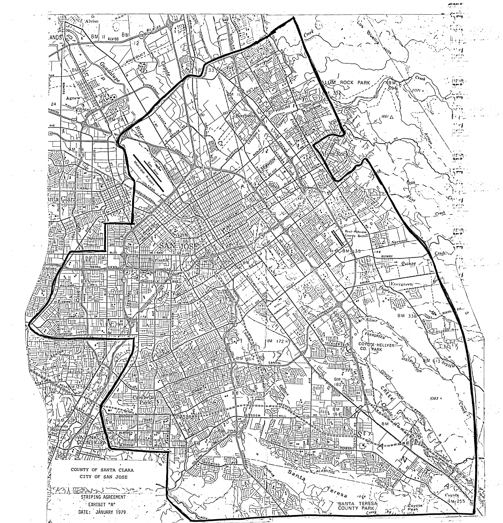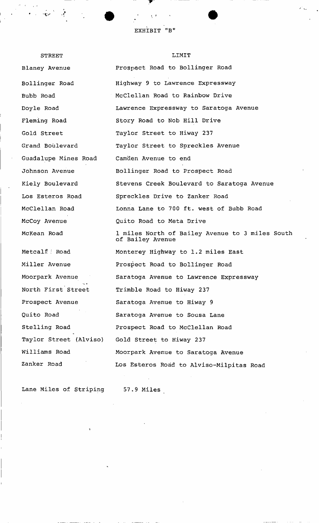EXHIBIT "B"

STREET Blaney Avenue Bollinger Road Bubb Road Doyle Road Fleming Road Gold Street Grand Boulevard Guadalupe Mines Road Johnson Avenue Kiely Boulevard Los Esteros Road McClellan Road McCoy Avenue McKean Road Metcalf. : Road Miller Avenue Moorpark Avenue  $\cdot$   $\cdot$   $\cdot$ North First Street Prospect Avenue Quito Road Stelling Road Taylor Street (Alviso) Williams Road Zanker Road LIMIT Prospect Road to Bollinger Road Highway 9 to Lawrence Expressway McClellan Road to Rainbow Drive Lawrence Expressway to Saratoga Avenue Story Road to Nob Hill Drive Taylor Street to Hiway 237 Taylor Street to Spreckles Avenue Camden Avenue to end Bollinger Road to Prospect Road Stevens Creek Boulevard to Saratoga Avenue Spreckles Drive to Zanker Road Lonna Lane to 700 ft. west of Bubb Road Quito Road to Meta Drive 1 miles North of Bailey Avenue to 3 miles South of Bailey Avenue Monterey Highway to 1.2 miles East Prospect Road to Bollinger Road Saratoga Avenue to Lawrence Expressway Trimble Road to Hiway 237 Saratoga Avenue to Hiway 9 Saratoga Avenue to Sousa Lane Prospect Road to McClellan Road Gold Street to Hiway 237 Moorpark Avenue to Saratoga Avenue Los Esteros Road to Alviso-Milpitas Road

Lane Miles of Striping 57.9 Miles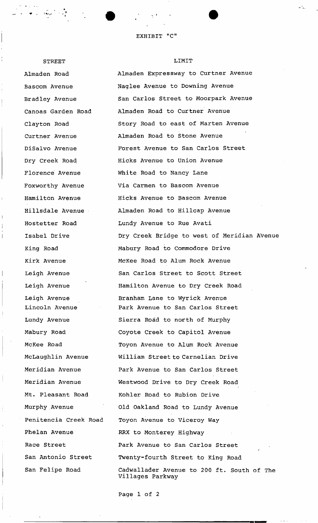STREET

# Almaden Road Bascom Avenue Bradley Avenue Canoas Garden Road Clayton Road Curtner Avenue DiSalvo Avenue Dry Creek Road Florence Avenue Foxworthy Avenue Hamilton Avenue Hillsdale Avenue Hostetter Road Isabel Drive King Road Kirk Avenue Leigh Avenue Leigh Avenue Leigh Avenue Lincoln Avenue Lundy Avenue Mabury Road McKee Road McLaughlin Avenue Meridian Avenue Meridian Avenue Mt. Pleasant Road Murphy Avenue Penitencia Creek Road Phelan Avenue Race Street San Antonio Street San Felipe Road

#### LIMIT

Almaden Expressway to Curtner Avenue Naglee Avenue to Downing Avenue San Carlos Street to Moorpark Avenue Almaden Road to Curtner Avenue Story Road to east of Marten Avenue Almaden Road to Stone Avenue Forest Avenue to San Carlos Street Hicks Avenue to Union Avenue White Road to Nancy Lane Via Carmen to Bascom Avenue Hicks Avenue to Bascom Avenue Almaden Road to Hillcap Avenue Lundy Avenue to Rue Avati Dry Creek Bridge to west of Meridian Avenue Mabury Road to Commodore Drive McKee Road to Alum Rock Avenue San Carlos Street to Scott Street Hamilton Avenue to Dry Creek Road Branham Lane to Wyrick Avenue Park Avenue to San Carlos Street Sierra Road to north of Murphy Coyote Creek to Capitol Avenue Toyon Avenue to Alum Rock Avenue William Street to Carnelian Drive Park Avenue to San Carlos Street Westwood Drive to Dry Creek Road Kohler Road to Rubion Drive Old Oakland Road to Lundy Avenue Toyon Avenue to Viceroy Way RRX to Monterey Highway Park Avenue to San Carlos Street *j*  Twenty-fourth Street to King Road Cadwallader Avenue to 200 ft. South of The Villages Parkway

Page 1 of 2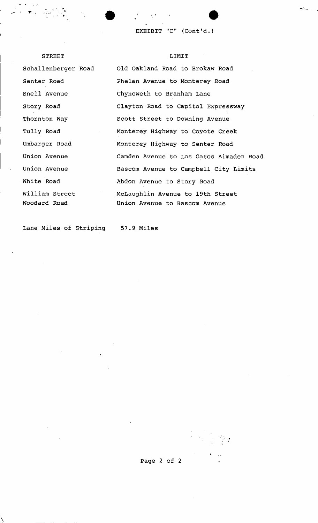**EXHIBIT "C" (Cont'd.)** 

Schallenberger Road Senter Road Snell Avenue Story Road Thornton Way Tully Road Umbarger Road Union Avenue Union Avenue White Road William Street Woodard Road

STREET

# LIMIT

Old Oakland Road to Brokaw Road Phelan Avenue to Monterey Road Chynoweth to Branham Lane Clayton Road to Capitol Expressway Scott Street to Downing Avenue Monterey Highway to Coyote Creek Monterey Highway to Senter Road Camden Avenue to Los Gatos Almaden Road Bascom Avenue to Campbell City Limits Abdon Avenue to Story Road McLaughlin Avenue to 19th Street Union Avenue to Bascom Avenue

Lane Miles of Striping 57.9 Miles

 $\frac{1}{2} \sum_{i=1}^n \frac{1}{2} \sum_{j=1}^n \frac{1}{2} \sum_{j=1}^n \frac{1}{2} \sum_{j=1}^n \frac{1}{2} \sum_{j=1}^n \frac{1}{2} \sum_{j=1}^n \frac{1}{2} \sum_{j=1}^n \frac{1}{2} \sum_{j=1}^n \frac{1}{2} \sum_{j=1}^n \frac{1}{2} \sum_{j=1}^n \frac{1}{2} \sum_{j=1}^n \frac{1}{2} \sum_{j=1}^n \frac{1}{2} \sum_{j=1}^n \frac{1}{2} \sum_{j=$ 

Page 2 of 2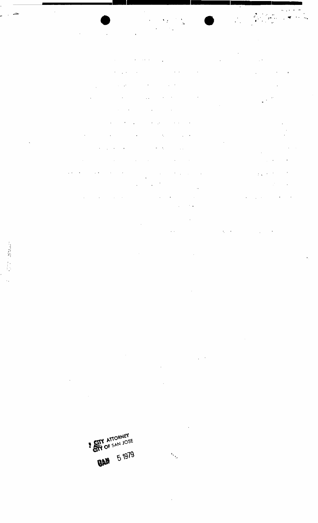**SETY ATTORNEY** *BAN* 51979

 $\ddot{\phantom{a}}$  $\mathbb{R}^3$  $\mathcal{I}$ 

 $\frac{1}{2}$ 

l,

.

 $\ddot{\phantom{0}}$ 

 $\mathcal{L}$ 

 $\frac{\partial}{\partial t} \left( \begin{array}{cc} \partial_{t} & \partial_{t} \\ \partial_{t} & \partial_{t} \end{array} \right) = \frac{1}{2} \left( \begin{array}{cc} \partial_{t} & \partial_{t} \\ \partial_{t} & \partial_{t} \end{array} \right)$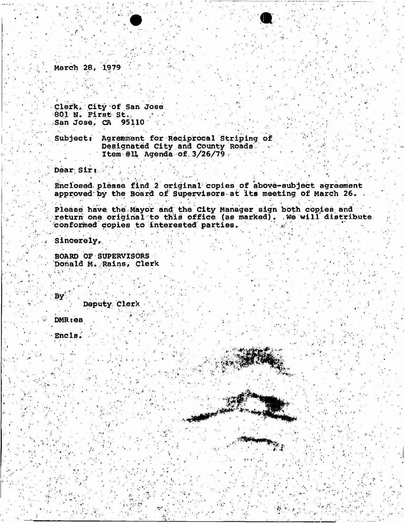**March 28, 1979** 

**Clerk,. City of San Jose 801 N. First St., San Jose, CA 95110** 

Subject: Agreement for Reciprocal Striping of **Designated City and County Roads. Item # U Agenda of, 3/26/79** 

> v.;  $\cdot$

Dear Sir:

**Enclosed-please find 2 original<sup>1</sup> copies of above-subjeet agreement approved<sup>1</sup> by the Board pf Supervisors at Its meeting of March 26. .** 

**Please have, the Mayor and the City Manager sign both copies, and**  return one original to this office (as marked). We will distribute *conformed* **copies to interested parties. ' ••** 

فبمديد

*\*\** 

Sincerely,

**BOARD OF SUPERVISORS**  Donald M. Rains, Clerk

**Deputy. Clerk** 

**DMRsea** 

**By** 

Encls.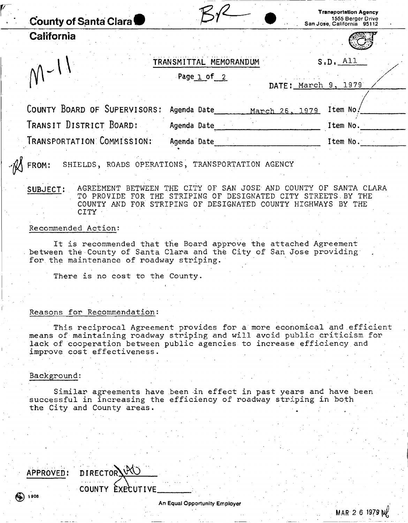| <b>County of Santa Clara</b> |                                                  | <b>Transportation Agency</b><br>1555 Berger Drive<br>San Jose, California 95112 |
|------------------------------|--------------------------------------------------|---------------------------------------------------------------------------------|
| California                   |                                                  |                                                                                 |
|                              | TRANSMITTAL MEMORANDUM                           | S, D, All                                                                       |
|                              | Page 1 of 2<br>DATE: March 9,                    | 1979                                                                            |
| COUNTY BOARD OF SUPERVISORS: | Agenda Date<br>March 26, 1979                    | Item No.                                                                        |
| TRANSIT DISTRICT BOARD:      | Agenda Date                                      | Item No.                                                                        |
| TRANSPORTATION COMMISSION:   | Agenda Date                                      | Item No.                                                                        |
| FROM:                        | SHIELDS, ROADS OPERATIONS, TRANSPORTATION AGENCY |                                                                                 |

SUBJECT: AGREEMENT BETWEEN THE CITY OF SAN JOSE AND COUNTY OF SANTA CLARA TO PROVIDE FOR THE STRIPING OF DESIGNATED CITY STREETS. BY THE COUNTY AND FOR STRIPING OF DESIGNATED COUNTY HIGHWAYS BY THE CITY

#### Recommended Action:

It is recommended that the Board approve the attached Agreement between the County of Santa Clara and the City of San Jose providing for the maintenance of roadway striping.

There is no cost to the County.

# Reasons for Recommendation:

This reciprocal Agreement provides for a more economical and efficient means of maintaining roadway striping and will avoid public criticism for lack of cooperation between public agencies to increase efficiency.and improve cost effectiveness.

#### Background:

Similar agreements have been in effect in past years and have been successful in increasing the efficiency of roadway striping in both the City and County areas.

APPROVED: DIRECTOR: COUNTY EXECUTIVE 006 (م**0**)

 $MAR$  2 6 1979  $M$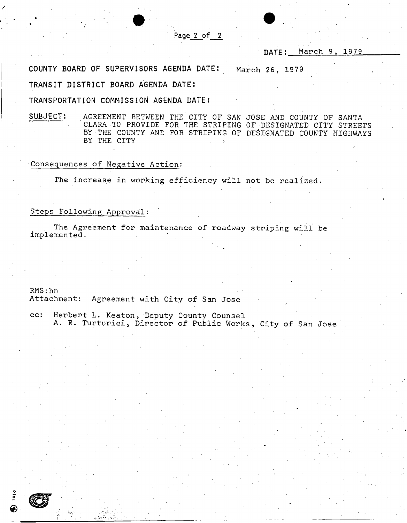### **Page 2 of 2**

DATE: March 9, 1979

**COUNT Y BOAR D OF SUPERVISOR S AGEND A DATE :** March 26, 1979

**TRANSI T DISTRIC T BOAR D AGEND A DATE :** 

**TRANSPORTATIO N COMMISSIO N AGEND A DATE ;** 

**SUBJECT!** AGREEMENT BETWEEN THE CITY OF SAN JOSE AND COUNTY OF SANTA 'CLARA TO PROVIDE FOR THE STRIPING OF DESIGNATED CITY STREETS BY THE COUNTY AND FOR STRIPING OF DESIGNATED COUNTY HIGHWAYS BY THE CITY

#### Consequences of Negative Action:

The increase in working efficiency will not be realized.

#### Steps Following Approval:

The Agreement for maintenance of roadway striping will be implemented.

RMS:hn Attachment: Agreement with City of San Jose

cc: Herbert L. Keaton, Deputy.County Counsel A. R. Turturici, Director of Public Works, City of San Jose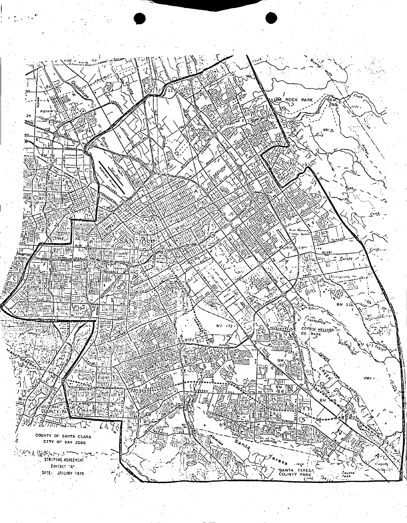